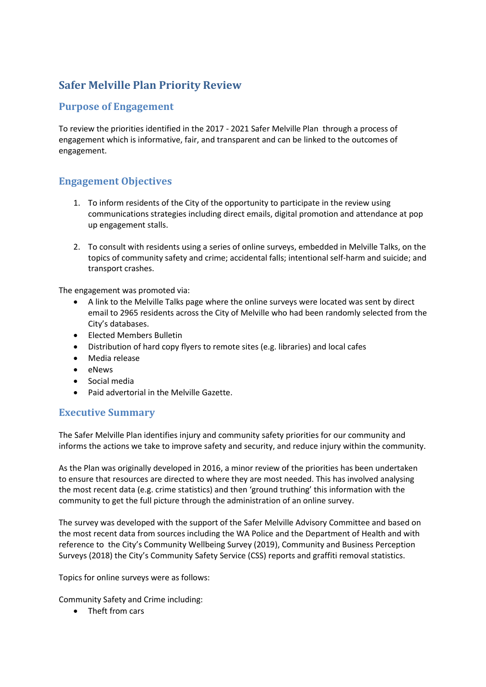# <span id="page-0-0"></span>**Safer Melville Plan Priority Review**

## <span id="page-0-1"></span>**Purpose of Engagement**

To review the priorities identified in the 2017 - 2021 Safer Melville Plan through a process of engagement which is informative, fair, and transparent and can be linked to the outcomes of engagement.

## <span id="page-0-2"></span>**Engagement Objectives**

- 1. To inform residents of the City of the opportunity to participate in the review using communications strategies including direct emails, digital promotion and attendance at pop up engagement stalls.
- 2. To consult with residents using a series of online surveys, embedded in Melville Talks, on the topics of community safety and crime; accidental falls; intentional self-harm and suicide; and transport crashes.

The engagement was promoted via:

- A link to the Melville Talks page where the online surveys were located was sent by direct email to 2965 residents across the City of Melville who had been randomly selected from the City's databases.
- Elected Members Bulletin
- Distribution of hard copy flyers to remote sites (e.g. libraries) and local cafes
- Media release
- eNews
- Social media
- Paid advertorial in the Melville Gazette.

### <span id="page-0-3"></span>**Executive Summary**

The Safer Melville Plan identifies injury and community safety priorities for our community and informs the actions we take to improve safety and security, and reduce injury within the community.

As the Plan was originally developed in 2016, a minor review of the priorities has been undertaken to ensure that resources are directed to where they are most needed. This has involved analysing the most recent data (e.g. crime statistics) and then 'ground truthing' this information with the community to get the full picture through the administration of an online survey.

The survey was developed with the support of the Safer Melville Advisory Committee and based on the most recent data from sources including the WA Police and the Department of Health and with reference to the City's Community Wellbeing Survey (2019), Community and Business Perception Surveys (2018) the City's Community Safety Service (CSS) reports and graffiti removal statistics.

Topics for online surveys were as follows:

Community Safety and Crime including:

• Theft from cars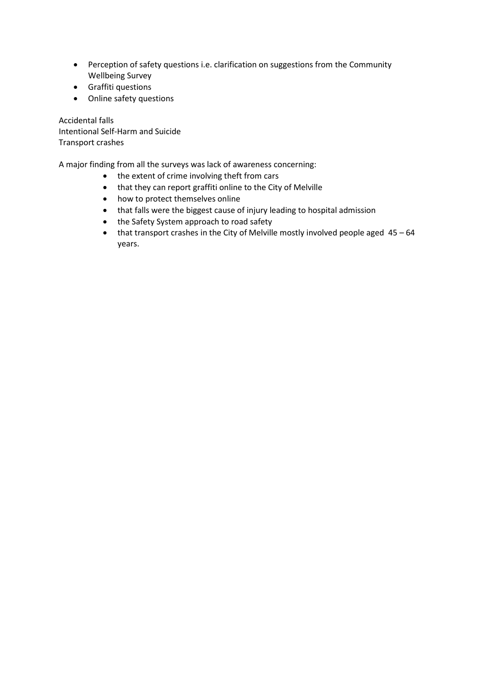- Perception of safety questions i.e. clarification on suggestions from the Community Wellbeing Survey
- Graffiti questions
- Online safety questions

Accidental falls Intentional Self-Harm and Suicide Transport crashes

A major finding from all the surveys was lack of awareness concerning:

- the extent of crime involving theft from cars
- that they can report graffiti online to the City of Melville
- how to protect themselves online
- that falls were the biggest cause of injury leading to hospital admission
- the Safety System approach to road safety
- $\bullet$  that transport crashes in the City of Melville mostly involved people aged  $45 64$ years.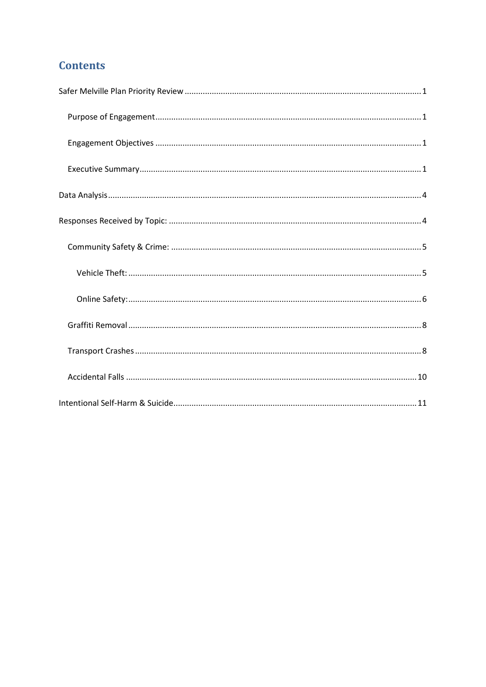# **Contents**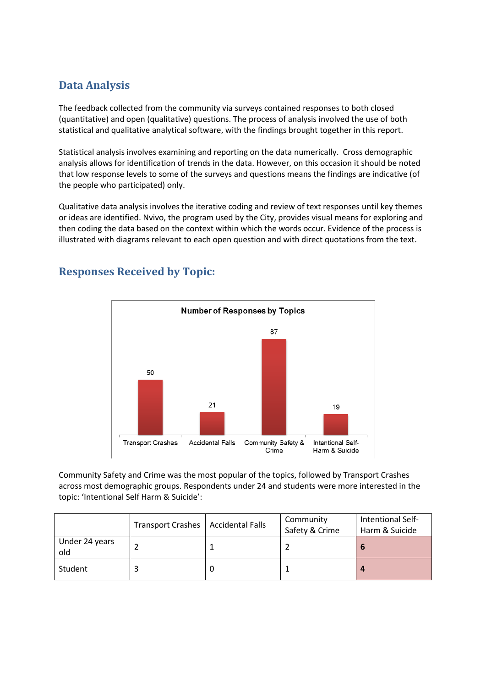## <span id="page-3-0"></span>**Data Analysis**

The feedback collected from the community via surveys contained responses to both closed (quantitative) and open (qualitative) questions. The process of analysis involved the use of both statistical and qualitative analytical software, with the findings brought together in this report.

Statistical analysis involves examining and reporting on the data numerically. Cross demographic analysis allows for identification of trends in the data. However, on this occasion it should be noted that low response levels to some of the surveys and questions means the findings are indicative (of the people who participated) only.

Qualitative data analysis involves the iterative coding and review of text responses until key themes or ideas are identified. Nvivo, the program used by the City, provides visual means for exploring and then coding the data based on the context within which the words occur. Evidence of the process is illustrated with diagrams relevant to each open question and with direct quotations from the text.



# <span id="page-3-1"></span>**Responses Received by Topic:**

Community Safety and Crime was the most popular of the topics, followed by Transport Crashes across most demographic groups. Respondents under 24 and students were more interested in the topic: 'Intentional Self Harm & Suicide':

|                       | Transport Crashes   Accidental Falls | Community<br>Safety & Crime | Intentional Self-<br>Harm & Suicide |
|-----------------------|--------------------------------------|-----------------------------|-------------------------------------|
| Under 24 years<br>old |                                      |                             |                                     |
| Student               |                                      |                             |                                     |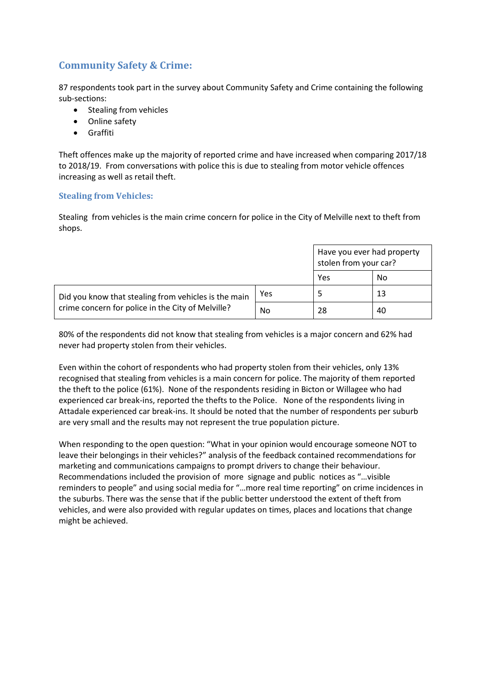## <span id="page-4-0"></span>**Community Safety & Crime:**

87 respondents took part in the survey about Community Safety and Crime containing the following sub-sections:

- Stealing from vehicles
- Online safety
- Graffiti

Theft offences make up the majority of reported crime and have increased when comparing 2017/18 to 2018/19. From conversations with police this is due to stealing from motor vehicle offences increasing as well as retail theft.

#### <span id="page-4-1"></span>**Stealing from Vehicles:**

Stealing from vehicles is the main crime concern for police in the City of Melville next to theft from shops.

|                                                      | Have you ever had property<br>stolen from your car? |           |    |
|------------------------------------------------------|-----------------------------------------------------|-----------|----|
|                                                      | Yes                                                 | <b>No</b> |    |
| Did you know that stealing from vehicles is the main | Yes                                                 |           | 13 |
| crime concern for police in the City of Melville?    | No                                                  | -28       | 40 |

80% of the respondents did not know that stealing from vehicles is a major concern and 62% had never had property stolen from their vehicles.

Even within the cohort of respondents who had property stolen from their vehicles, only 13% recognised that stealing from vehicles is a main concern for police. The majority of them reported the theft to the police (61%). None of the respondents residing in Bicton or Willagee who had experienced car break-ins, reported the thefts to the Police. None of the respondents living in Attadale experienced car break-ins. It should be noted that the number of respondents per suburb are very small and the results may not represent the true population picture.

When responding to the open question: "What in your opinion would encourage someone NOT to leave their belongings in their vehicles?" analysis of the feedback contained recommendations for marketing and communications campaigns to prompt drivers to change their behaviour. Recommendations included the provision of more signage and public notices as "…visible reminders to people" and using social media for "…more real time reporting" on crime incidences in the suburbs. There was the sense that if the public better understood the extent of theft from vehicles, and were also provided with regular updates on times, places and locations that change might be achieved.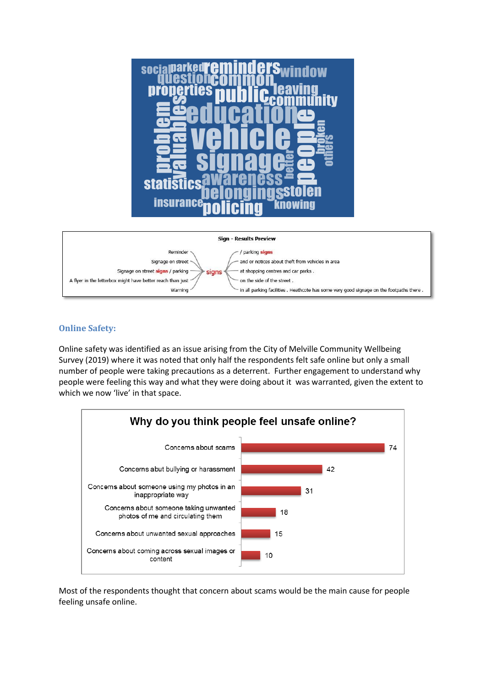



#### <span id="page-5-0"></span>**Online Safety:**

Online safety was identified as an issue arising from the City of Melville Community Wellbeing Survey (2019) where it was noted that only half the respondents felt safe online but only a small number of people were taking precautions as a deterrent. Further engagement to understand why people were feeling this way and what they were doing about it was warranted, given the extent to which we now 'live' in that space.



Most of the respondents thought that concern about scams would be the main cause for people feeling unsafe online.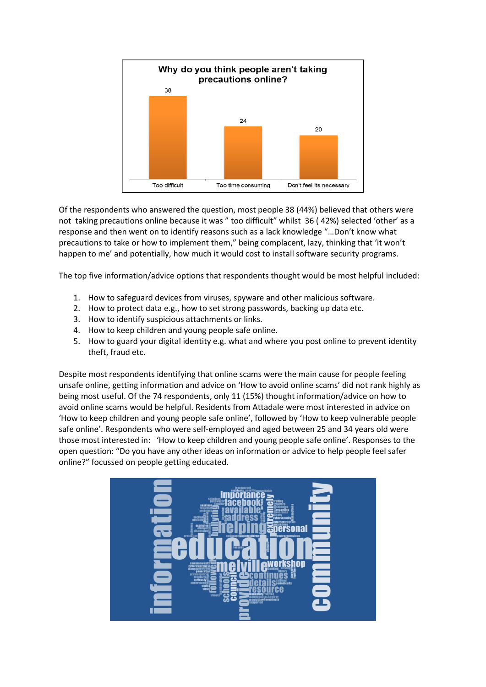

Of the respondents who answered the question, most people 38 (44%) believed that others were not taking precautions online because it was " too difficult" whilst 36 ( 42%) selected 'other' as a response and then went on to identify reasons such as a lack knowledge "…Don't know what precautions to take or how to implement them," being complacent, lazy, thinking that 'it won't happen to me' and potentially, how much it would cost to install software security programs.

The top five information/advice options that respondents thought would be most helpful included:

- 1. How to safeguard devices from viruses, spyware and other malicious software.
- 2. How to protect data e.g., how to set strong passwords, backing up data etc.
- 3. How to identify suspicious attachments or links.
- 4. How to keep children and young people safe online.
- 5. How to guard your digital identity e.g. what and where you post online to prevent identity theft, fraud etc.

Despite most respondents identifying that online scams were the main cause for people feeling unsafe online, getting information and advice on 'How to avoid online scams' did not rank highly as being most useful. Of the 74 respondents, only 11 (15%) thought information/advice on how to avoid online scams would be helpful. Residents from Attadale were most interested in advice on 'How to keep children and young people safe online', followed by 'How to keep vulnerable people safe online'. Respondents who were self-employed and aged between 25 and 34 years old were those most interested in: 'How to keep children and young people safe online'. Responses to the open question: "Do you have any other ideas on information or advice to help people feel safer online?" focussed on people getting educated.

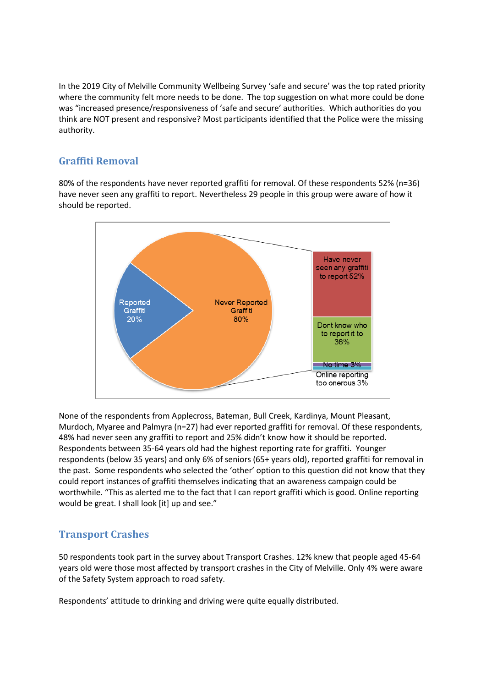In the 2019 City of Melville Community Wellbeing Survey 'safe and secure' was the top rated priority where the community felt more needs to be done. The top suggestion on what more could be done was "increased presence/responsiveness of 'safe and secure' authorities. Which authorities do you think are NOT present and responsive? Most participants identified that the Police were the missing authority.

#### <span id="page-7-0"></span>**Graffiti Removal**

80% of the respondents have never reported graffiti for removal. Of these respondents 52% (n=36) have never seen any graffiti to report. Nevertheless 29 people in this group were aware of how it should be reported.



None of the respondents from Applecross, Bateman, Bull Creek, Kardinya, Mount Pleasant, Murdoch, Myaree and Palmyra (n=27) had ever reported graffiti for removal. Of these respondents, 48% had never seen any graffiti to report and 25% didn't know how it should be reported. Respondents between 35-64 years old had the highest reporting rate for graffiti. Younger respondents (below 35 years) and only 6% of seniors (65+ years old), reported graffiti for removal in the past. Some respondents who selected the 'other' option to this question did not know that they could report instances of graffiti themselves indicating that an awareness campaign could be worthwhile. "This as alerted me to the fact that I can report graffiti which is good. Online reporting would be great. I shall look [it] up and see."

### <span id="page-7-1"></span>**Transport Crashes**

50 respondents took part in the survey about Transport Crashes. 12% knew that people aged 45-64 years old were those most affected by transport crashes in the City of Melville. Only 4% were aware of the Safety System approach to road safety.

Respondents' attitude to drinking and driving were quite equally distributed.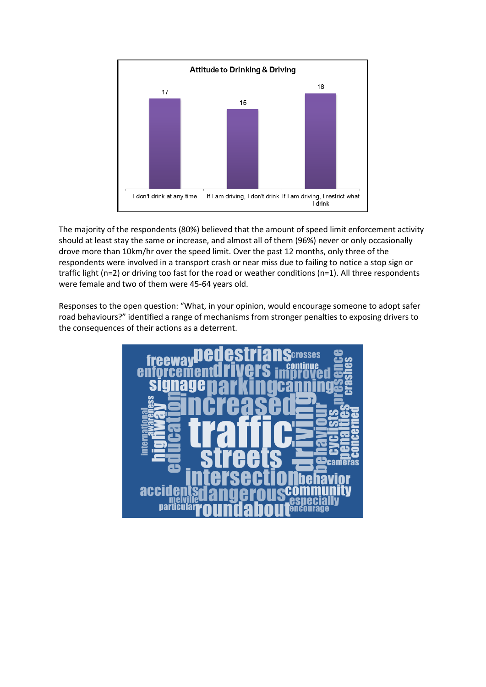

The majority of the respondents (80%) believed that the amount of speed limit enforcement activity should at least stay the same or increase, and almost all of them (96%) never or only occasionally drove more than 10km/hr over the speed limit. Over the past 12 months, only three of the respondents were involved in a transport crash or near miss due to failing to notice a stop sign or traffic light (n=2) or driving too fast for the road or weather conditions (n=1). All three respondents were female and two of them were 45-64 years old.

Responses to the open question: "What, in your opinion, would encourage someone to adopt safer road behaviours?" identified a range of mechanisms from stronger penalties to exposing drivers to the consequences of their actions as a deterrent.

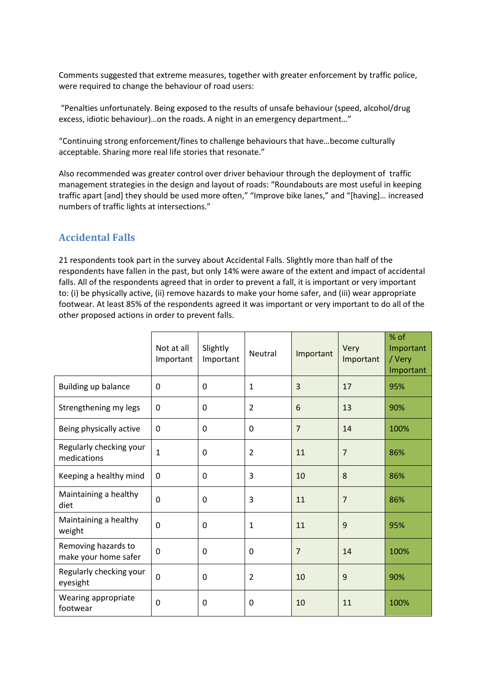Comments suggested that extreme measures, together with greater enforcement by traffic police, were required to change the behaviour of road users:

"Penalties unfortunately. Being exposed to the results of unsafe behaviour (speed, alcohol/drug excess, idiotic behaviour)…on the roads. A night in an emergency department…"

"Continuing strong enforcement/fines to challenge behaviours that have…become culturally acceptable. Sharing more real life stories that resonate."

Also recommended was greater control over driver behaviour through the deployment of traffic management strategies in the design and layout of roads: "Roundabouts are most useful in keeping traffic apart [and] they should be used more often," "Improve bike lanes," and "[having]… increased numbers of traffic lights at intersections."

## <span id="page-9-0"></span>**Accidental Falls**

21 respondents took part in the survey about Accidental Falls. Slightly more than half of the respondents have fallen in the past, but only 14% were aware of the extent and impact of accidental falls. All of the respondents agreed that in order to prevent a fall, it is important or very important to: (i) be physically active, (ii) remove hazards to make your home safer, and (iii) wear appropriate footwear. At least 85% of the respondents agreed it was important or very important to do all of the other proposed actions in order to prevent falls.

|                                             | Not at all<br>Important | Slightly<br>Important | Neutral        | Important      | Very<br>Important | % of<br>Important<br>/ Very<br>Important |
|---------------------------------------------|-------------------------|-----------------------|----------------|----------------|-------------------|------------------------------------------|
| <b>Building up balance</b>                  | $\mathbf 0$             | $\mathbf 0$           | $\mathbf{1}$   | 3              | 17                | 95%                                      |
| Strengthening my legs                       | 0                       | $\Omega$              | $\overline{2}$ | 6              | 13                | 90%                                      |
| Being physically active                     | $\mathbf{0}$            | $\Omega$              | $\Omega$       | $\overline{7}$ | 14                | 100%                                     |
| Regularly checking your<br>medications      | $\mathbf{1}$            | $\mathbf 0$           | $\overline{2}$ | 11             | $\overline{7}$    | 86%                                      |
| Keeping a healthy mind                      | 0                       | 0                     | 3              | 10             | 8                 | 86%                                      |
| Maintaining a healthy<br>diet               | $\mathbf 0$             | $\Omega$              | 3              | 11             | $\overline{7}$    | 86%                                      |
| Maintaining a healthy<br>weight             | $\Omega$                | $\Omega$              | $\mathbf{1}$   | 11             | 9                 | 95%                                      |
| Removing hazards to<br>make your home safer | $\mathbf 0$             | 0                     | 0              | $\overline{7}$ | 14                | 100%                                     |
| Regularly checking your<br>eyesight         | $\overline{0}$          | $\mathbf 0$           | $\overline{2}$ | 10             | 9                 | 90%                                      |
| Wearing appropriate<br>footwear             | $\mathbf 0$             | $\Omega$              | 0              | 10             | 11                | 100%                                     |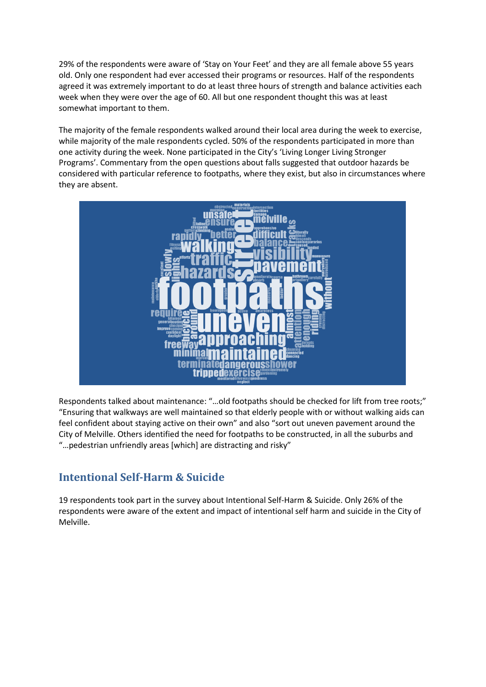29% of the respondents were aware of 'Stay on Your Feet' and they are all female above 55 years old. Only one respondent had ever accessed their programs or resources. Half of the respondents agreed it was extremely important to do at least three hours of strength and balance activities each week when they were over the age of 60. All but one respondent thought this was at least somewhat important to them.

The majority of the female respondents walked around their local area during the week to exercise, while majority of the male respondents cycled. 50% of the respondents participated in more than one activity during the week. None participated in the City's 'Living Longer Living Stronger Programs'. Commentary from the open questions about falls suggested that outdoor hazards be considered with particular reference to footpaths, where they exist, but also in circumstances where they are absent.



Respondents talked about maintenance: "…old footpaths should be checked for lift from tree roots;" "Ensuring that walkways are well maintained so that elderly people with or without walking aids can feel confident about staying active on their own" and also "sort out uneven pavement around the City of Melville. Others identified the need for footpaths to be constructed, in all the suburbs and "…pedestrian unfriendly areas [which] are distracting and risky"

## <span id="page-10-0"></span>**Intentional Self-Harm & Suicide**

19 respondents took part in the survey about Intentional Self-Harm & Suicide. Only 26% of the respondents were aware of the extent and impact of intentional self harm and suicide in the City of Melville.